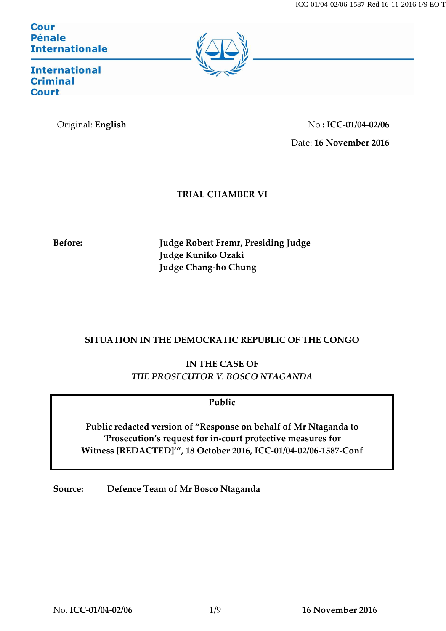**Cour Pénale Internationale** 



**International Criminal Court** 

Original: **English** No.**: ICC-01/04-02/06** Date: **16 November 2016**

**TRIAL CHAMBER VI**

**Before: Judge Robert Fremr, Presiding Judge Judge Kuniko Ozaki Judge Chang-ho Chung**

# **SITUATION IN THE DEMOCRATIC REPUBLIC OF THE CONGO**

**IN THE CASE OF** *THE PROSECUTOR V. BOSCO NTAGANDA*

# **Public**

**Public redacted version of "Response on behalf of Mr Ntaganda to 'Prosecution's request for in-court protective measures for Witness [REDACTED]'", 18 October 2016, ICC-01/04-02/06-1587-Conf**

**Source: Defence Team of Mr Bosco Ntaganda**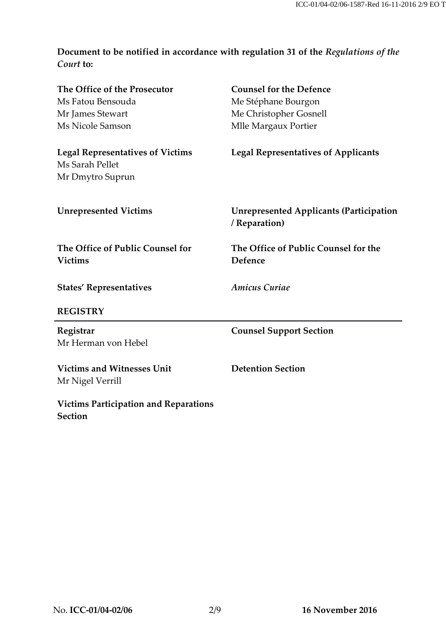# **Document to be notified in accordance with regulation 31 of the** *Regulations of the Court* **to:**

| The Office of the Prosecutor                                   | <b>Counsel for the Defence</b>                                  |
|----------------------------------------------------------------|-----------------------------------------------------------------|
| Ms Fatou Bensouda                                              | Me Stéphane Bourgon                                             |
| Mr James Stewart                                               | Me Christopher Gosnell                                          |
| Ms Nicole Samson                                               | Mlle Margaux Portier                                            |
| <b>Legal Representatives of Victims</b><br>Ms Sarah Pellet     | <b>Legal Representatives of Applicants</b>                      |
| Mr Dmytro Suprun                                               |                                                                 |
| <b>Unrepresented Victims</b>                                   | <b>Unrepresented Applicants (Participation</b><br>/ Reparation) |
| The Office of Public Counsel for<br><b>Victims</b>             | The Office of Public Counsel for the<br>Defence                 |
| <b>States' Representatives</b>                                 | <b>Amicus Curiae</b>                                            |
| <b>REGISTRY</b>                                                |                                                                 |
| Registrar<br>Mr Herman von Hebel                               | <b>Counsel Support Section</b>                                  |
|                                                                |                                                                 |
| <b>Victims and Witnesses Unit</b><br>Mr Nigel Verrill          | <b>Detention Section</b>                                        |
| <b>Victims Participation and Reparations</b><br><b>Section</b> |                                                                 |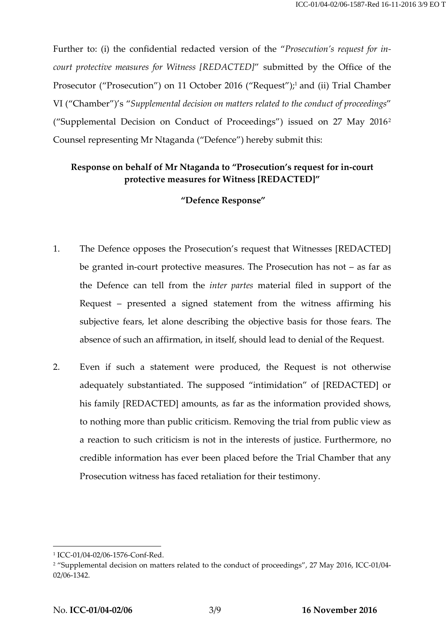Further to: (i) the confidential redacted version of the "*Prosecution's request for incourt protective measures for Witness [REDACTED]*" submitted by the Office of the Prosecutor ("Prosecution") on 11 October 2016 ("Request");<sup>1</sup> and (ii) Trial Chamber VI ("Chamber")'s "*Supplemental decision on matters related to the conduct of proceedings*" ("Supplemental Decision on Conduct of Proceedings") issued on 27 May 2016<sup>2</sup> Counsel representing Mr Ntaganda ("Defence") hereby submit this:

### **Response on behalf of Mr Ntaganda to "Prosecution's request for in-court protective measures for Witness [REDACTED]"**

#### **"Defence Response"**

- 1. The Defence opposes the Prosecution's request that Witnesses [REDACTED] be granted in-court protective measures. The Prosecution has not – as far as the Defence can tell from the *inter partes* material filed in support of the Request – presented a signed statement from the witness affirming his subjective fears, let alone describing the objective basis for those fears. The absence of such an affirmation, in itself, should lead to denial of the Request.
- 2. Even if such a statement were produced, the Request is not otherwise adequately substantiated. The supposed "intimidation" of [REDACTED] or his family [REDACTED] amounts, as far as the information provided shows, to nothing more than public criticism. Removing the trial from public view as a reaction to such criticism is not in the interests of justice. Furthermore, no credible information has ever been placed before the Trial Chamber that any Prosecution witness has faced retaliation for their testimony.

<sup>1</sup> ICC-01/04-02/06-1576-Conf-Red.

<sup>&</sup>lt;sup>2</sup> "Supplemental decision on matters related to the conduct of proceedings", 27 May 2016, ICC-01/04-02/06-1342.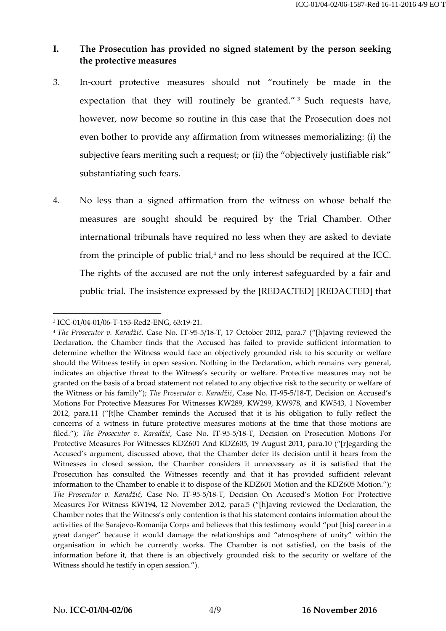# **I. The Prosecution has provided no signed statement by the person seeking the protective measures**

- 3. In-court protective measures should not "routinely be made in the expectation that they will routinely be granted."<sup>3</sup> Such requests have, however, now become so routine in this case that the Prosecution does not even bother to provide any affirmation from witnesses memorializing: (i) the subjective fears meriting such a request; or (ii) the "objectively justifiable risk" substantiating such fears.
- 4. No less than a signed affirmation from the witness on whose behalf the measures are sought should be required by the Trial Chamber. Other international tribunals have required no less when they are asked to deviate from the principle of public trial, $4$  and no less should be required at the ICC. The rights of the accused are not the only interest safeguarded by a fair and public trial. The insistence expressed by the [REDACTED] [REDACTED] that

<sup>3</sup> ICC-01/04-01/06-T-153-Red2-ENG, 63:19-21.

<sup>4</sup> *The Prosecutor v. Karadžić*, Case No. IT-95-5/18-T, 17 October 2012, para.7 ("[h]aving reviewed the Declaration, the Chamber finds that the Accused has failed to provide sufficient information to determine whether the Witness would face an objectively grounded risk to his security or welfare should the Witness testify in open session. Nothing in the Declaration, which remains very general, indicates an objective threat to the Witness's security or welfare. Protective measures may not be granted on the basis of a broad statement not related to any objective risk to the security or welfare of the Witness or his family"); *The Prosecutor v. Karadžić*, Case No. IT-95-5/18-T, Decision on Accused's Motions For Protective Measures For Witnesses KW289, KW299, KW978, and KW543, 1 November 2012, para.11 ("[t]he Chamber reminds the Accused that it is his obligation to fully reflect the concerns of a witness in future protective measures motions at the time that those motions are filed."); *The Prosecutor v. Karadžić*, Case No. IT-95-5/18-T, Decision on Prosecution Motions For Protective Measures For Witnesses KDZ601 And KDZ605, 19 August 2011, para.10 ("[r]egarding the Accused's argument, discussed above, that the Chamber defer its decision until it hears from the Witnesses in closed session, the Chamber considers it unnecessary as it is satisfied that the Prosecution has consulted the Witnesses recently and that it has provided sufficient relevant information to the Chamber to enable it to dispose of the KDZ601 Motion and the KDZ605 Motion."); *The Prosecutor v. Karadžić*, Case No. IT-95-5/18-T, Decision On Accused's Motion For Protective Measures For Witness KW194, 12 November 2012, para.5 ("[h]aving reviewed the Declaration, the Chamber notes that the Witness's only contention is that his statement contains information about the activities of the Sarajevo-Romanija Corps and believes that this testimony would "put [his] career in a great danger" because it would damage the relationships and "atmosphere of unity" within the organisation in which he currently works. The Chamber is not satisfied, on the basis of the information before it, that there is an objectively grounded risk to the security or welfare of the Witness should he testify in open session.").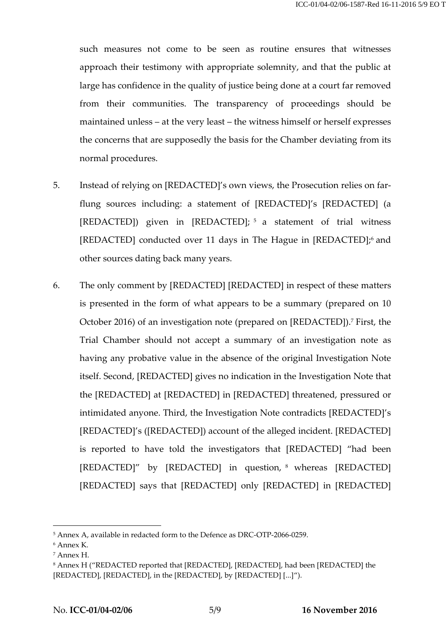such measures not come to be seen as routine ensures that witnesses approach their testimony with appropriate solemnity, and that the public at large has confidence in the quality of justice being done at a court far removed from their communities. The transparency of proceedings should be maintained unless – at the very least – the witness himself or herself expresses the concerns that are supposedly the basis for the Chamber deviating from its normal procedures.

- 5. Instead of relying on [REDACTED]'s own views, the Prosecution relies on farflung sources including: a statement of [REDACTED]'s [REDACTED] (a [REDACTED]) given in [REDACTED]; <sup>5</sup> a statement of trial witness [REDACTED] conducted over 11 days in The Hague in [REDACTED]; <sup>6</sup> and other sources dating back many years.
- 6. The only comment by [REDACTED] [REDACTED] in respect of these matters is presented in the form of what appears to be a summary (prepared on 10 October 2016) of an investigation note (prepared on [REDACTED]). <sup>7</sup> First, the Trial Chamber should not accept a summary of an investigation note as having any probative value in the absence of the original Investigation Note itself. Second, [REDACTED] gives no indication in the Investigation Note that the [REDACTED] at [REDACTED] in [REDACTED] threatened, pressured or intimidated anyone. Third, the Investigation Note contradicts [REDACTED]'s [REDACTED]'s ([REDACTED]) account of the alleged incident. [REDACTED] is reported to have told the investigators that [REDACTED] "had been [REDACTED]" by [REDACTED] in question, <sup>8</sup> whereas [REDACTED] [REDACTED] says that [REDACTED] only [REDACTED] in [REDACTED]

<sup>5</sup> Annex A, available in redacted form to the Defence as DRC-OTP-2066-0259.

<sup>6</sup> Annex K.

<sup>7</sup> Annex H.

<sup>8</sup> Annex H ("REDACTED reported that [REDACTED], [REDACTED], had been [REDACTED] the [REDACTED], [REDACTED], in the [REDACTED], by [REDACTED] [...]").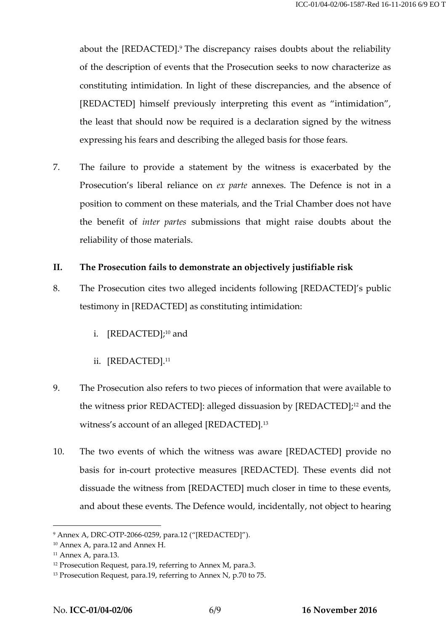about the [REDACTED]. <sup>9</sup> The discrepancy raises doubts about the reliability of the description of events that the Prosecution seeks to now characterize as constituting intimidation. In light of these discrepancies, and the absence of [REDACTED] himself previously interpreting this event as "intimidation", the least that should now be required is a declaration signed by the witness expressing his fears and describing the alleged basis for those fears.

7. The failure to provide a statement by the witness is exacerbated by the Prosecution's liberal reliance on *ex parte* annexes. The Defence is not in a position to comment on these materials, and the Trial Chamber does not have the benefit of *inter partes* submissions that might raise doubts about the reliability of those materials.

#### **II. The Prosecution fails to demonstrate an objectively justifiable risk**

- 8. The Prosecution cites two alleged incidents following [REDACTED]'s public testimony in [REDACTED] as constituting intimidation:
	- i. [REDACTED]; <sup>10</sup> and
	- ii. [REDACTED]. 11
- 9. The Prosecution also refers to two pieces of information that were available to the witness prior REDACTED]: alleged dissuasion by [REDACTED]; <sup>12</sup> and the witness's account of an alleged [REDACTED]. 13
- 10. The two events of which the witness was aware [REDACTED] provide no basis for in-court protective measures [REDACTED]. These events did not dissuade the witness from [REDACTED] much closer in time to these events, and about these events. The Defence would, incidentally, not object to hearing

<sup>9</sup> Annex A, DRC-OTP-2066-0259, para.12 ("[REDACTED]").

<sup>10</sup> Annex A, para.12 and Annex H.

<sup>11</sup> Annex A, para.13.

<sup>&</sup>lt;sup>12</sup> Prosecution Request, para.19, referring to Annex M, para.3.

<sup>&</sup>lt;sup>13</sup> Prosecution Request, para.19, referring to Annex N, p.70 to 75.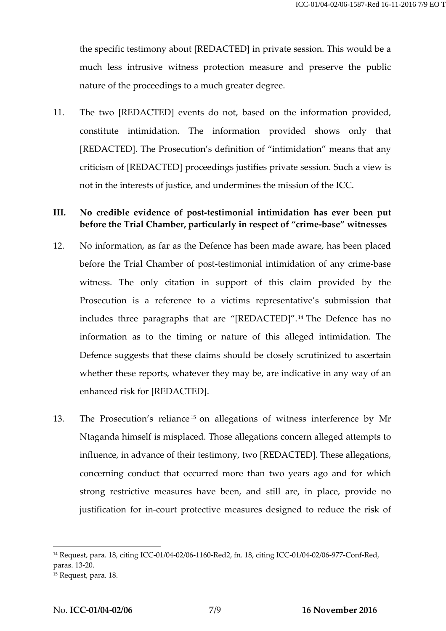the specific testimony about [REDACTED] in private session. This would be a much less intrusive witness protection measure and preserve the public nature of the proceedings to a much greater degree.

11. The two [REDACTED] events do not, based on the information provided, constitute intimidation. The information provided shows only that [REDACTED]. The Prosecution's definition of "intimidation" means that any criticism of [REDACTED] proceedings justifies private session. Such a view is not in the interests of justice, and undermines the mission of the ICC.

## **III. No credible evidence of post-testimonial intimidation has ever been put before the Trial Chamber, particularly in respect of "crime-base" witnesses**

- 12. No information, as far as the Defence has been made aware, has been placed before the Trial Chamber of post-testimonial intimidation of any crime-base witness. The only citation in support of this claim provided by the Prosecution is a reference to a victims representative's submission that includes three paragraphs that are "[REDACTED]". <sup>14</sup> The Defence has no information as to the timing or nature of this alleged intimidation. The Defence suggests that these claims should be closely scrutinized to ascertain whether these reports, whatever they may be, are indicative in any way of an enhanced risk for [REDACTED].
- 13. The Prosecution's reliance <sup>15</sup> on allegations of witness interference by Mr Ntaganda himself is misplaced. Those allegations concern alleged attempts to influence, in advance of their testimony, two [REDACTED]. These allegations, concerning conduct that occurred more than two years ago and for which strong restrictive measures have been, and still are, in place, provide no justification for in-court protective measures designed to reduce the risk of

<sup>14</sup> Request, para. 18, citing ICC-01/04-02/06-1160-Red2, fn. 18, citing ICC-01/04-02/06-977-Conf-Red, paras. 13-20.

<sup>15</sup> Request, para. 18.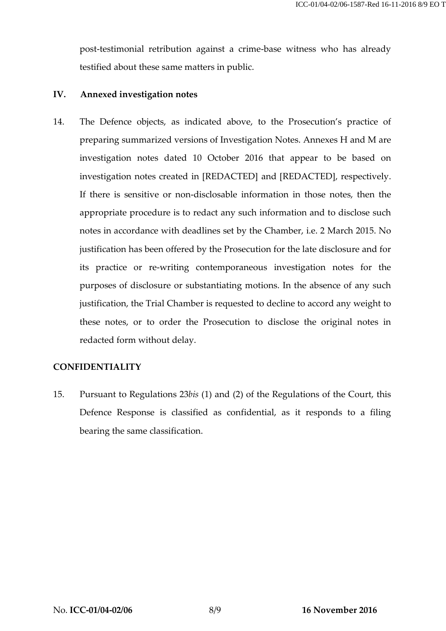post-testimonial retribution against a crime-base witness who has already testified about these same matters in public.

### **IV. Annexed investigation notes**

14. The Defence objects, as indicated above, to the Prosecution's practice of preparing summarized versions of Investigation Notes. Annexes H and M are investigation notes dated 10 October 2016 that appear to be based on investigation notes created in [REDACTED] and [REDACTED], respectively. If there is sensitive or non-disclosable information in those notes, then the appropriate procedure is to redact any such information and to disclose such notes in accordance with deadlines set by the Chamber, i.e. 2 March 2015. No justification has been offered by the Prosecution for the late disclosure and for its practice or re-writing contemporaneous investigation notes for the purposes of disclosure or substantiating motions. In the absence of any such justification, the Trial Chamber is requested to decline to accord any weight to these notes, or to order the Prosecution to disclose the original notes in redacted form without delay.

### **CONFIDENTIALITY**

15. Pursuant to Regulations 23*bis* (1) and (2) of the Regulations of the Court, this Defence Response is classified as confidential, as it responds to a filing bearing the same classification.